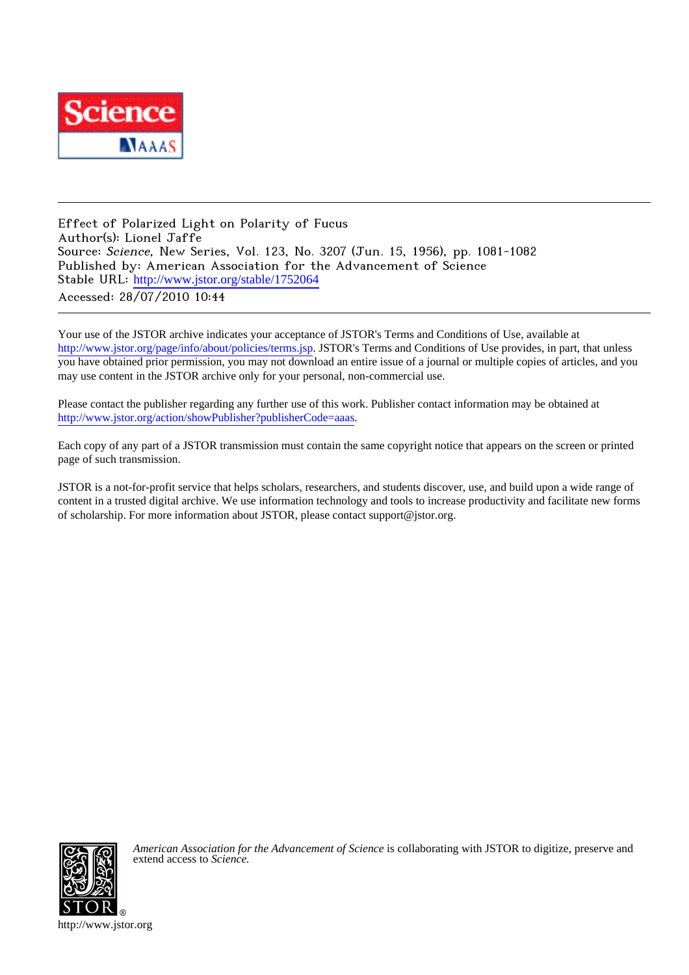

Effect of Polarized Light on Polarity of Fucus Author(s): Lionel Jaffe Source: Science, New Series, Vol. 123, No. 3207 (Jun. 15, 1956), pp. 1081-1082 Published by: American Association for the Advancement of Science Stable URL: [http://www.jstor.org/stable/1752064](http://www.jstor.org/stable/1752064?origin=JSTOR-pdf) Accessed: 28/07/2010 10:44

Your use of the JSTOR archive indicates your acceptance of JSTOR's Terms and Conditions of Use, available at <http://www.jstor.org/page/info/about/policies/terms.jsp>. JSTOR's Terms and Conditions of Use provides, in part, that unless you have obtained prior permission, you may not download an entire issue of a journal or multiple copies of articles, and you may use content in the JSTOR archive only for your personal, non-commercial use.

Please contact the publisher regarding any further use of this work. Publisher contact information may be obtained at <http://www.jstor.org/action/showPublisher?publisherCode=aaas>.

Each copy of any part of a JSTOR transmission must contain the same copyright notice that appears on the screen or printed page of such transmission.

JSTOR is a not-for-profit service that helps scholars, researchers, and students discover, use, and build upon a wide range of content in a trusted digital archive. We use information technology and tools to increase productivity and facilitate new forms of scholarship. For more information about JSTOR, please contact support@jstor.org.



*American Association for the Advancement of Science* is collaborating with JSTOR to digitize, preserve and extend access to *Science.*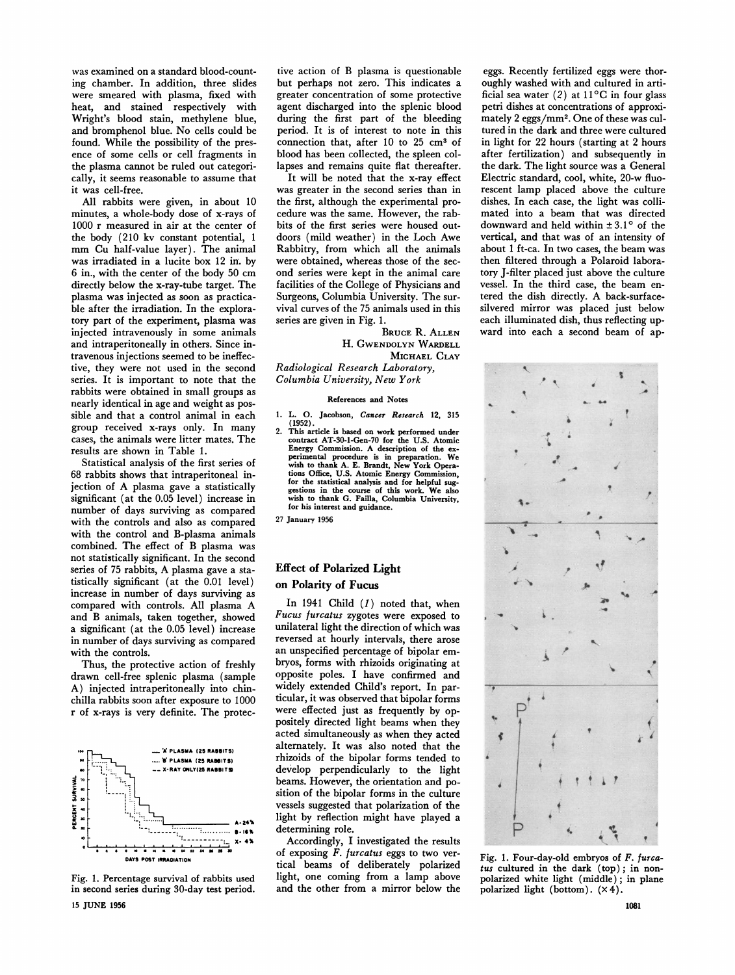**was examined on a standard blood-count**were smeared with plasma, fixed with heat, and stained respectively with Wright's blood stain, methylene blue, and bromphenol blue. No cells could be found. While the possibility of the pres**found. While the possibility of the pres**ence of some cells or cell fragments in <br>
the plasma cannot be miled out extensi **the plasma cannot be ruled out categorically, it seems reasonable to assume that it was cell-free.** 

**All rabbits were given, in about 10 minutes, a whole-body dose of x-rays of 1000 r measured in air at the center of the body (210 kv constant potential, 1 mm Cu half-value layer). The animal was irradiated in a lucite box 12 in. by 6 in., with the center of the body 50 cm directly below the x-ray-tube target. The plasma was injected as soon as practicable after the irradiation. In the exploratory part of the experiment, plasma was injected intravenously in some animals and intraperitoneally in others. Since intravenous injections seemed to be ineffective, they were not used in the second series. It is important to note that the rabbits were obtained in small groups as nearly identical in age and weight as possible and that a control animal in each group received x-rays only. In many cases, the animals were litter mates. The results are shown in Table 1.** 

**Statistical analysis of the first series of 68 rabbits shows that intraperitoneal injection of A plasma gave a statistically significant (at the 0.05 level) increase in number of days surviving as compared with the controls and also as compared with the control and B-plasma animals combined. The effect of B plasma was not statistically significant. In the second series of 75 rabbits, A plasma gave a statistically significant (at the 0.01 level). increase in number of days surviving as compared with controls. All plasma A and B animals, taken together, showed a significant (at the 0.05 level) increase in number of days surviving as compared with the controls.** 

**Thus, the protective action of freshly drawn cell-free splenic plasma (sample A) injected intraperitoneally into chinchilla rabbits soon after exposure to 1000 r of x-rays is very definite. The protec-**



**Fig. 1. Percentage survival of rabbits used in second series during 30-day test period. 15 JUNE 1956** 

**tive action of B plasma is questionable**  greater concentration of some protective agent discharged into the splenic blood **agent discharged into the splenic blood**  during the first part of the bleeding<br>ported It is of interest to note in this **period. It is of interest to note in this**  connection that, after 10 to 25 cm<sup>3</sup> of **blood has been collected, the spleen collapses and remains quite flat thereafter.** 

**It will be noted that the x-ray effect was greater in the second series than in the first, although the experimental procedure was the same. However, the rabbits of the first series were housed outdoors (mild weather) in the Loch Awe Rabbitry, from which all the animals were obtained, whereas those of the second series were kept in the animal care facilities of the College of Physicians and Surgeons, Columbia University. The survival curves of the 75 animals used in this series are given in Fig. 1.** 

**BRUCE R. ALLEN H. GWENDOLYN WARDELL MICHAEL CLAY** 

**Radiological Research Laboratory, Columbia University, New York** 

### **References and Notes**

- **1. L. O. Jacobson, Cancer Research 12, 315**
- **(1952). 2. This article is based on work performed under contract AT-30-1-Gen-70 for the U.S. Atomic**<br> **Energy Commission. A description of the experimental procedure is in preparation. We**  wish to thank A. E. Brandt, New York Opera-<br> **tions Office, U.S. Atomic Energy Commission**<br> **tion to the initial analysis of the U.S.** for the statistical analysis and for helpful sug-<br>gestions in the course of this work. We also<br>wish to thank G. Failla, Columbia University,<br>the big interact and without **for his interest and guidance.**

**27 January 1956** 

# **Effect of Polarized Light on Polarity of Fucus**

**In 1941 Child (1) noted that, when Fucus furcatus zygotes were exposed to unilateral light the direction of which was reversed at hourly intervals, there arose an unspecified percentage of bipolar embryos, forms with rhizoids originating at opposite poles. I have confirmed and widely extended Child's report. In particular, it was observed that bipolar forms were effected just as frequently by oppositely directed light beams when they acted simultaneously as when they acted alternately. It was also noted that the rhizoids of the bipolar forms tended to develop perpendicularly to the light beams. However, the orientation and position of the bipolar forms in the culture vessels suggested that polarization of the light by reflection might have played a determining role.** 

**Accordingly, I investigated the results of exposing F. furcatus eggs to two vertical beams of deliberately polarized light, one coming from a lamp above and the other from a mirror below the** 

**eggs. Recently fertilized eggs were thor**oughly washed with and cultured in arti-<br>ficial sea water (2) at 11<sup>o</sup>C in four glass petri dishes at concentrations of approximately 2 eggs/mm<sup>2</sup>. One of these was cul**mately 2 eggs/mm2. One of these was cul-tured in the dark and three were cultured in light for 22 hours (starting at 2 hours after fertilization) and subsequently in the dark. The light source was a General Electric standard, cool, white, 20-w fluorescent lamp placed above the culture dishes. In each case, the light was collimated into a beam that was directed**  downward and held within  $\pm 3.1$ ° of the **vertical, and that was of an intensity of about 1 ft-ca. In two cases, the beam was then filtered through a Polaroid laboratory J-filter placed just above the culture vessel. In the third case, the beam entered the dish directly. A back-surfacesilvered mirror was placed just below each illuminated dish, thus reflecting upward into each a second beam of ap-**



**Fig. 1. Four-day-old embryos of F. furcatus cultured in the dark (top); in nonpolarized white light (middle); in plane polarized light (bottom). (x 4).**